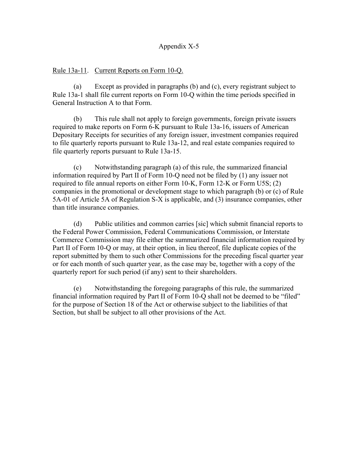## Appendix X-5

## Rule 13a-11. Current Reports on Form 10-Q.

(a) Except as provided in paragraphs (b) and (c), every registrant subject to Rule 13a-1 shall file current reports on Form 10-Q within the time periods specified in General Instruction A to that Form.

 (b) This rule shall not apply to foreign governments, foreign private issuers required to make reports on Form 6-K pursuant to Rule 13a-16, issuers of American Depositary Receipts for securities of any foreign issuer, investment companies required to file quarterly reports pursuant to Rule 13a-12, and real estate companies required to file quarterly reports pursuant to Rule 13a-15.

 (c) Notwithstanding paragraph (a) of this rule, the summarized financial information required by Part II of Form 10-Q need not be filed by (1) any issuer not required to file annual reports on either Form 10-K, Form 12-K or Form U5S; (2) companies in the promotional or development stage to which paragraph (b) or (c) of Rule 5A-01 of Article 5A of Regulation S-X is applicable, and (3) insurance companies, other than title insurance companies.

 (d) Public utilities and common carries [sic] which submit financial reports to the Federal Power Commission, Federal Communications Commission, or Interstate Commerce Commission may file either the summarized financial information required by Part II of Form 10-Q or may, at their option, in lieu thereof, file duplicate copies of the report submitted by them to such other Commissions for the preceding fiscal quarter year or for each month of such quarter year, as the case may be, together with a copy of the quarterly report for such period (if any) sent to their shareholders.

 (e) Notwithstanding the foregoing paragraphs of this rule, the summarized financial information required by Part II of Form 10-Q shall not be deemed to be "filed" for the purpose of Section 18 of the Act or otherwise subject to the liabilities of that Section, but shall be subject to all other provisions of the Act.